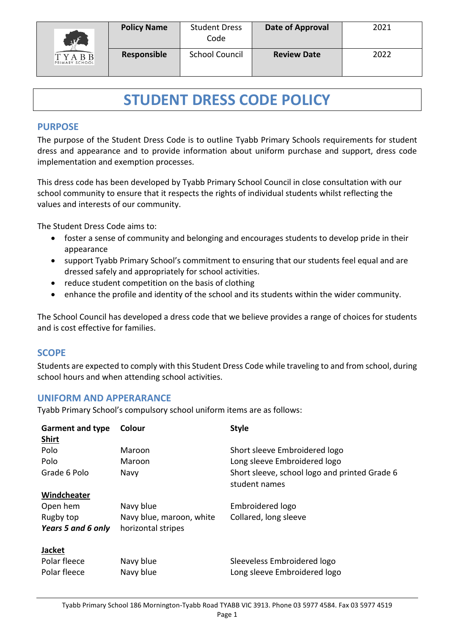

# **STUDENT DRESS CODE POLICY**

# **PURPOSE**

The purpose of the Student Dress Code is to outline Tyabb Primary Schools requirements for student dress and appearance and to provide information about uniform purchase and support, dress code implementation and exemption processes.

This dress code has been developed by Tyabb Primary School Council in close consultation with our school community to ensure that it respects the rights of individual students whilst reflecting the values and interests of our community.

The Student Dress Code aims to:

- foster a sense of community and belonging and encourages students to develop pride in their appearance
- support Tyabb Primary School's commitment to ensuring that our students feel equal and are dressed safely and appropriately for school activities.
- reduce student competition on the basis of clothing
- enhance the profile and identity of the school and its students within the wider community.

The School Council has developed a dress code that we believe provides a range of choices for students and is cost effective for families.

# **SCOPE**

Students are expected to comply with this Student Dress Code while traveling to and from school, during school hours and when attending school activities.

### **UNIFORM AND APPERARANCE**

Tyabb Primary School's compulsory school uniform items are as follows:

| <b>Garment and type</b><br><b>Shirt</b> | Colour                   | <b>Style</b>                                                   |
|-----------------------------------------|--------------------------|----------------------------------------------------------------|
| Polo                                    | Maroon                   | Short sleeve Embroidered logo                                  |
| Polo                                    | Maroon                   | Long sleeve Embroidered logo                                   |
| Grade 6 Polo                            | Navy                     | Short sleeve, school logo and printed Grade 6<br>student names |
| Windcheater                             |                          |                                                                |
| Open hem                                | Navy blue                | Embroidered logo                                               |
| Rugby top                               | Navy blue, maroon, white | Collared, long sleeve                                          |
| Years 5 and 6 only                      | horizontal stripes       |                                                                |
| <b>Jacket</b>                           |                          |                                                                |
| Polar fleece                            | Navy blue                | Sleeveless Embroidered logo                                    |
| Polar fleece                            | Navy blue                | Long sleeve Embroidered logo                                   |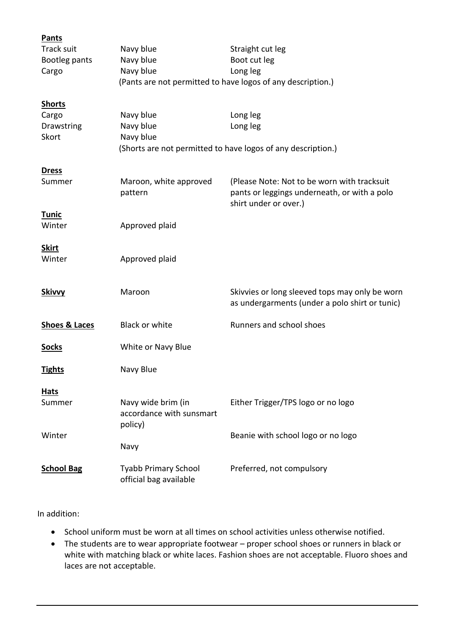| <b>Pants</b>             |                                                             |                                                                       |
|--------------------------|-------------------------------------------------------------|-----------------------------------------------------------------------|
| <b>Track suit</b>        | Navy blue                                                   | Straight cut leg                                                      |
| Bootleg pants            | Navy blue                                                   | Boot cut leg                                                          |
| Cargo                    | Navy blue                                                   | Long leg                                                              |
|                          | (Pants are not permitted to have logos of any description.) |                                                                       |
| <b>Shorts</b>            |                                                             |                                                                       |
| Cargo                    | Navy blue                                                   | Long leg                                                              |
| Drawstring               | Navy blue                                                   | Long leg                                                              |
| Skort                    | Navy blue                                                   |                                                                       |
|                          |                                                             | (Shorts are not permitted to have logos of any description.)          |
| <b>Dress</b>             |                                                             |                                                                       |
| Summer                   | Maroon, white approved                                      | (Please Note: Not to be worn with tracksuit                           |
|                          | pattern                                                     | pants or leggings underneath, or with a polo<br>shirt under or over.) |
| <u>Tunic</u>             |                                                             |                                                                       |
| Winter                   | Approved plaid                                              |                                                                       |
|                          |                                                             |                                                                       |
| <b>Skirt</b>             |                                                             |                                                                       |
| Winter                   | Approved plaid                                              |                                                                       |
|                          |                                                             |                                                                       |
| <b>Skivvy</b>            | Maroon                                                      | Skivvies or long sleeved tops may only be worn                        |
|                          |                                                             | as undergarments (under a polo shirt or tunic)                        |
|                          |                                                             |                                                                       |
| <b>Shoes &amp; Laces</b> | <b>Black or white</b>                                       | Runners and school shoes                                              |
| <b>Socks</b>             | White or Navy Blue                                          |                                                                       |
|                          |                                                             |                                                                       |
| <u>Tights</u>            | Navy Blue                                                   |                                                                       |
| Hats                     |                                                             |                                                                       |
| Summer                   | Navy wide brim (in                                          | Either Trigger/TPS logo or no logo                                    |
|                          | accordance with sunsmart                                    |                                                                       |
|                          | policy)                                                     |                                                                       |
| Winter                   |                                                             | Beanie with school logo or no logo                                    |
|                          | Navy                                                        |                                                                       |
| <b>School Bag</b>        | <b>Tyabb Primary School</b>                                 | Preferred, not compulsory                                             |
|                          | official bag available                                      |                                                                       |
|                          |                                                             |                                                                       |

### In addition:

- School uniform must be worn at all times on school activities unless otherwise notified.
- The students are to wear appropriate footwear proper school shoes or runners in black or white with matching black or white laces. Fashion shoes are not acceptable. Fluoro shoes and laces are not acceptable.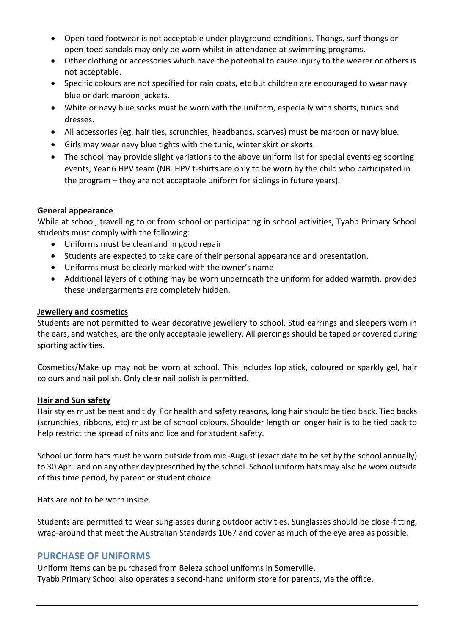- Open toed footwear is not acceptable under playground conditions. Thongs, surf thongs or open-toed sandals may only be worn whilst in attendance at swimming programs.
- Other clothing or accessories which have the potential to cause injury to the wearer or others is not acceptable.
- Specific colours are not specified for rain coats, etc but children are encouraged to wear navy blue or dark maroon jackets.
- White or navy blue socks must be worn with the uniform, especially with shorts, tunics and dresses.
- All accessories (eg. hair ties, scrunchies, headbands, scarves) must be maroon or navy blue.
- Girls may wear navy blue tights with the tunic, winter skirt or skorts.
- The school may provide slight variations to the above uniform list for special events eg sporting events, Year 6 HPV team (NB. HPV t-shirts are only to be worn by the child who participated in the program – they are not acceptable uniform for siblings in future years).

#### **General appearance**

While at school, travelling to or from school or participating in school activities, Tyabb Primary School students must comply with the following:

- Uniforms must be clean and in good repair
- Students are expected to take care of their personal appearance and presentation.
- Uniforms must be clearly marked with the owner's name
- Additional layers of clothing may be worn underneath the uniform for added warmth, provided these undergarments are completely hidden.

#### **Jewellery and cosmetics**

Students are not permitted to wear decorative jewellery to school. Stud earrings and sleepers worn in the ears, and watches, are the only acceptable jewellery. All piercings should be taped or covered during sporting activities.

Cosmetics/Make up may not be worn at school. This includes lop stick, coloured or sparkly gel, hair colours and nail polish. Only clear nail polish is permitted.

#### **Hair and Sun safety**

Hair styles must be neat and tidy. For health and safety reasons, long hair should be tied back. Tied backs (scrunchies, ribbons, etc) must be of school colours. Shoulder length or longer hair is to be tied back to help restrict the spread of nits and lice and for student safety.

School uniform hats must be worn outside from mid-August (exact date to be set by the school annually) to 30 April and on any other day prescribed by the school. School uniform hats may also be worn outside of this time period, by parent or student choice.

Hats are not to be worn inside.

Students are permitted to wear sunglasses during outdoor activities. Sunglasses should be close-fitting, wrap-around that meet the Australian Standards 1067 and cover as much of the eye area as possible.

### **PURCHASE OF UNIFORMS**

Uniform items can be purchased from Beleza school uniforms in Somerville. Tyabb Primary School also operates a second-hand uniform store for parents, via the office.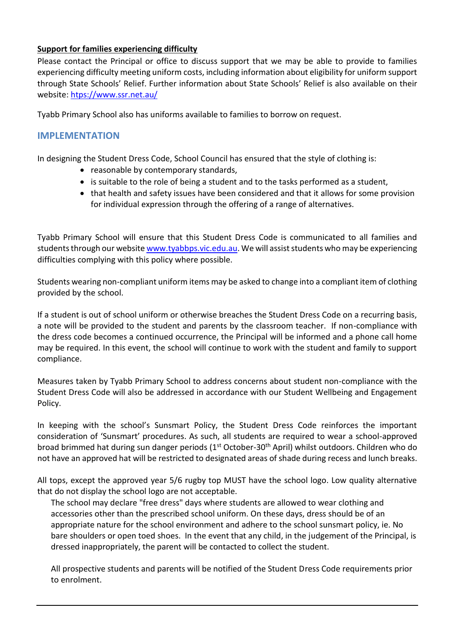## **Support for families experiencing difficulty**

Please contact the Principal or office to discuss support that we may be able to provide to families experiencing difficulty meeting uniform costs, including information about eligibility for uniform support through State Schools' Relief. Further information about State Schools' Relief is also available on their website: [htps://www.ssr.net.au/](https://www.ssr.net.au/)

Tyabb Primary School also has uniforms available to families to borrow on request.

# **IMPLEMENTATION**

In designing the Student Dress Code, School Council has ensured that the style of clothing is:

- reasonable by contemporary standards,
- is suitable to the role of being a student and to the tasks performed as a student,
- that health and safety issues have been considered and that it allows for some provision for individual expression through the offering of a range of alternatives.

Tyabb Primary School will ensure that this Student Dress Code is communicated to all families and students through our websit[e www.tyabbps.vic.edu.au.](http://www.tyabbps.vic.edu.au/) We will assist students who may be experiencing difficulties complying with this policy where possible.

Students wearing non-compliant uniform items may be asked to change into a compliant item of clothing provided by the school.

If a student is out of school uniform or otherwise breaches the Student Dress Code on a recurring basis, a note will be provided to the student and parents by the classroom teacher. If non-compliance with the dress code becomes a continued occurrence, the Principal will be informed and a phone call home may be required. In this event, the school will continue to work with the student and family to support compliance.

Measures taken by Tyabb Primary School to address concerns about student non-compliance with the Student Dress Code will also be addressed in accordance with our Student Wellbeing and Engagement Policy.

In keeping with the school's Sunsmart Policy, the Student Dress Code reinforces the important consideration of 'Sunsmart' procedures. As such, all students are required to wear a school-approved broad brimmed hat during sun danger periods (1<sup>st</sup> October-30<sup>th</sup> April) whilst outdoors. Children who do not have an approved hat will be restricted to designated areas of shade during recess and lunch breaks.

All tops, except the approved year 5/6 rugby top MUST have the school logo. Low quality alternative that do not display the school logo are not acceptable.

The school may declare "free dress" days where students are allowed to wear clothing and accessories other than the prescribed school uniform. On these days, dress should be of an appropriate nature for the school environment and adhere to the school sunsmart policy, ie. No bare shoulders or open toed shoes. In the event that any child, in the judgement of the Principal, is dressed inappropriately, the parent will be contacted to collect the student.

All prospective students and parents will be notified of the Student Dress Code requirements prior to enrolment.